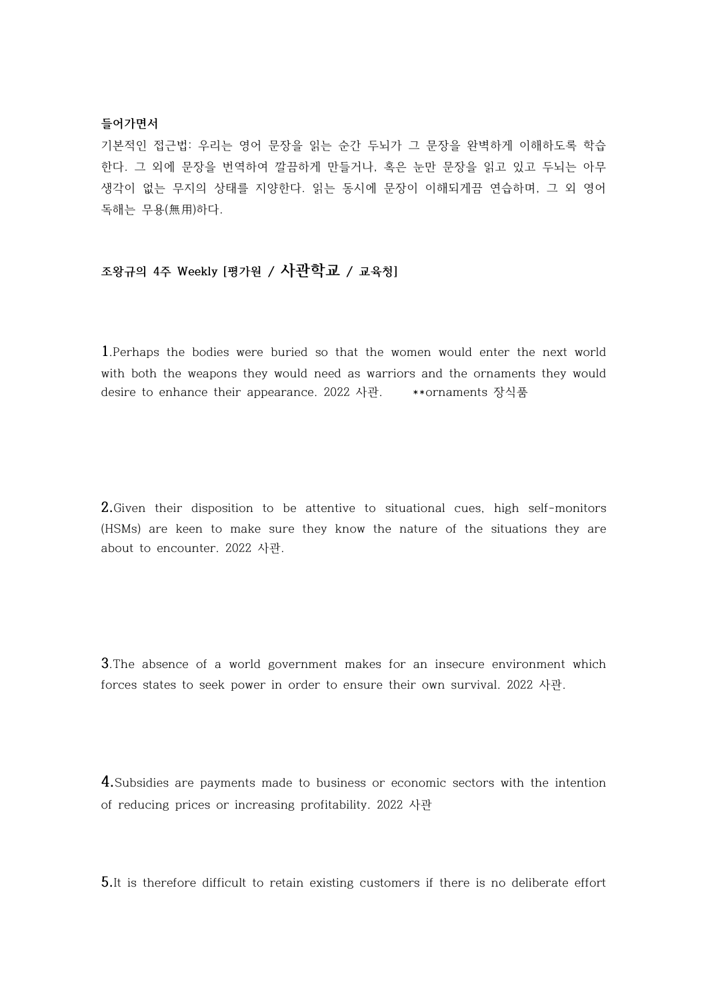# **들어가면서**

기본적인 접근법: 우리는 영어 문장을 읽는 순간 두뇌가 그 문장을 완벽하게 이해하도록 학습 한다. 그 외에 문장을 번역하여 깔끔하게 만들거나, 혹은 눈만 문장을 읽고 있고 두뇌는 아무 생각이 없는 무지의 상태를 지양한다. 읽는 동시에 문장이 이해되게끔 연습하며, 그 외 영어 독해는 무용(無用)하다.

# **조왕규의 4주 Weekly [평가원 / 사관학교 / 교육청]**

**1**.Perhaps the bodies were buried so that the women would enter the next world with both the weapons they would need as warriors and the ornaments they would desire to enhance their appearance. 2022 사관. \*\*ornaments 장식품

**2.**Given their disposition to be attentive to situational cues, high self-monitors (HSMs) are keen to make sure they know the nature of the situations they are about to encounter. 2022 사관.

**3**.The absence of a world government makes for an insecure environment which forces states to seek power in order to ensure their own survival. 2022 사관.

**4.**Subsidies are payments made to business or economic sectors with the intention of reducing prices or increasing profitability. 2022 사관

**5.**It is therefore difficult to retain existing customers if there is no deliberate effort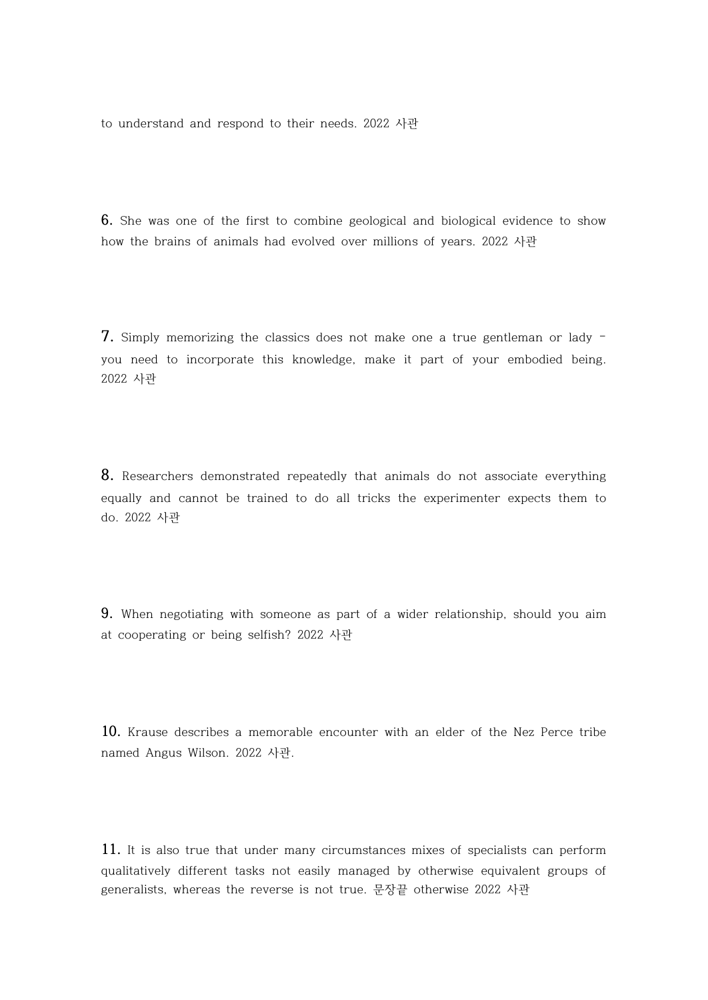to understand and respond to their needs. 2022 사관

**6.** She was one of the first to combine geological and biological evidence to show how the brains of animals had evolved over millions of years. 2022 사관

**7.** Simply memorizing the classics does not make one a true gentleman or lady – you need to incorporate this knowledge, make it part of your embodied being. 2022 사관

**8.** Researchers demonstrated repeatedly that animals do not associate everything equally and cannot be trained to do all tricks the experimenter expects them to do. 2022 사관

**9.** When negotiating with someone as part of a wider relationship, should you aim at cooperating or being selfish? 2022 사관

**10.** Krause describes a memorable encounter with an elder of the Nez Perce tribe named Angus Wilson. 2022 사관.

**11.** It is also true that under many circumstances mixes of specialists can perform qualitatively different tasks not easily managed by otherwise equivalent groups of generalists, whereas the reverse is not true. 문장끝 otherwise 2022 사관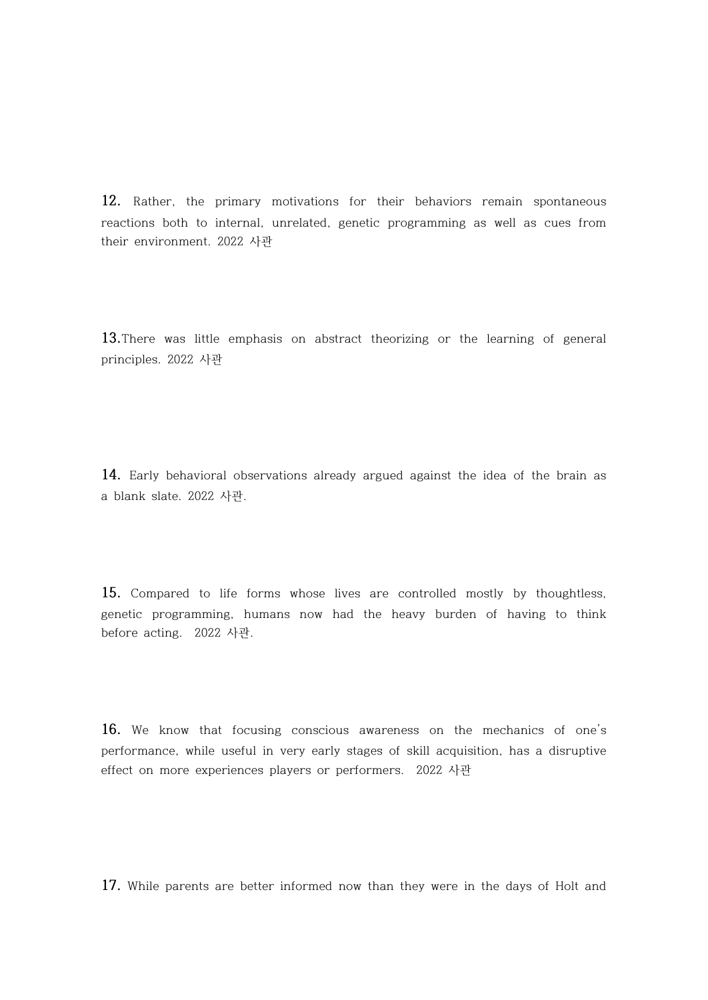**12.** Rather, the primary motivations for their behaviors remain spontaneous reactions both to internal, unrelated, genetic programming as well as cues from their environment. 2022 사관

**13.**There was little emphasis on abstract theorizing or the learning of general principles. 2022 사관

**14.** Early behavioral observations already argued against the idea of the brain as a blank slate. 2022 사관.

**15.** Compared to life forms whose lives are controlled mostly by thoughtless, genetic programming, humans now had the heavy burden of having to think before acting. 2022 사관.

**16.** We know that focusing conscious awareness on the mechanics of one's performance, while useful in very early stages of skill acquisition, has a disruptive effect on more experiences players or performers. 2022 사관

**17.** While parents are better informed now than they were in the days of Holt and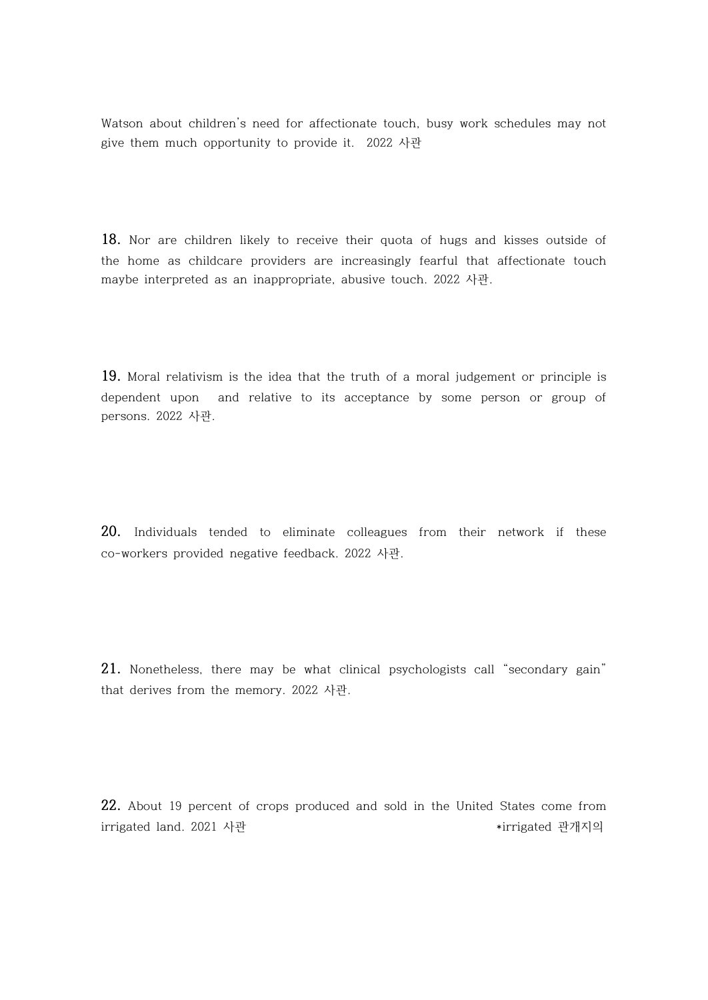Watson about children's need for affectionate touch, busy work schedules may not give them much opportunity to provide it. 2022 사관

**18.** Nor are children likely to receive their quota of hugs and kisses outside of the home as childcare providers are increasingly fearful that affectionate touch maybe interpreted as an inappropriate, abusive touch. 2022 사관.

**19.** Moral relativism is the idea that the truth of a moral judgement or principle is dependent upon and relative to its acceptance by some person or group of persons. 2022 사관.

**20.** Individuals tended to eliminate colleagues from their network if these co-workers provided negative feedback. 2022 사관.

**21.** Nonetheless, there may be what clinical psychologists call "secondary gain" that derives from the memory. 2022 사관.

**22.** About 19 percent of crops produced and sold in the United States come from irrigated land. 2021 사관 The Contract Material Management According to the interval and the interval and interv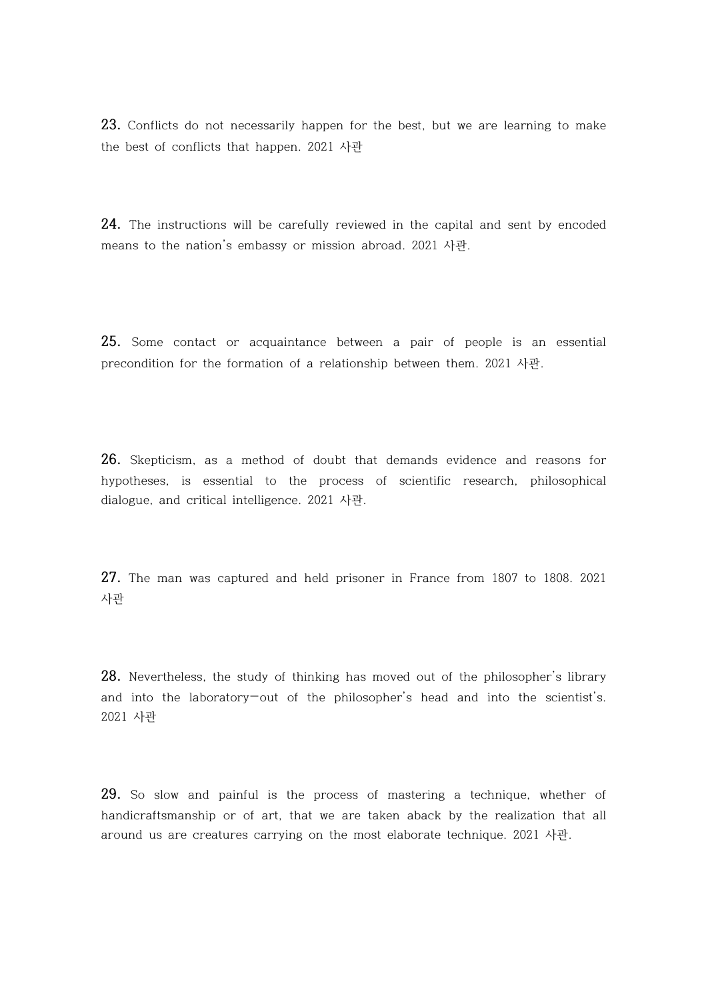**23.** Conflicts do not necessarily happen for the best, but we are learning to make the best of conflicts that happen. 2021 사관

**24.** The instructions will be carefully reviewed in the capital and sent by encoded means to the nation's embassy or mission abroad. 2021 사관.

**25.** Some contact or acquaintance between a pair of people is an essential precondition for the formation of a relationship between them. 2021 사관.

**26.** Skepticism, as a method of doubt that demands evidence and reasons for hypotheses, is essential to the process of scientific research, philosophical dialogue, and critical intelligence. 2021 사관.

**27.** The man was captured and held prisoner in France from 1807 to 1808. 2021 사관

**28.** Nevertheless, the study of thinking has moved out of the philosopher's library and into the laboratory—out of the philosopher's head and into the scientist's. 2021 사관

**29.** So slow and painful is the process of mastering a technique, whether of handicraftsmanship or of art, that we are taken aback by the realization that all around us are creatures carrying on the most elaborate technique. 2021 사관.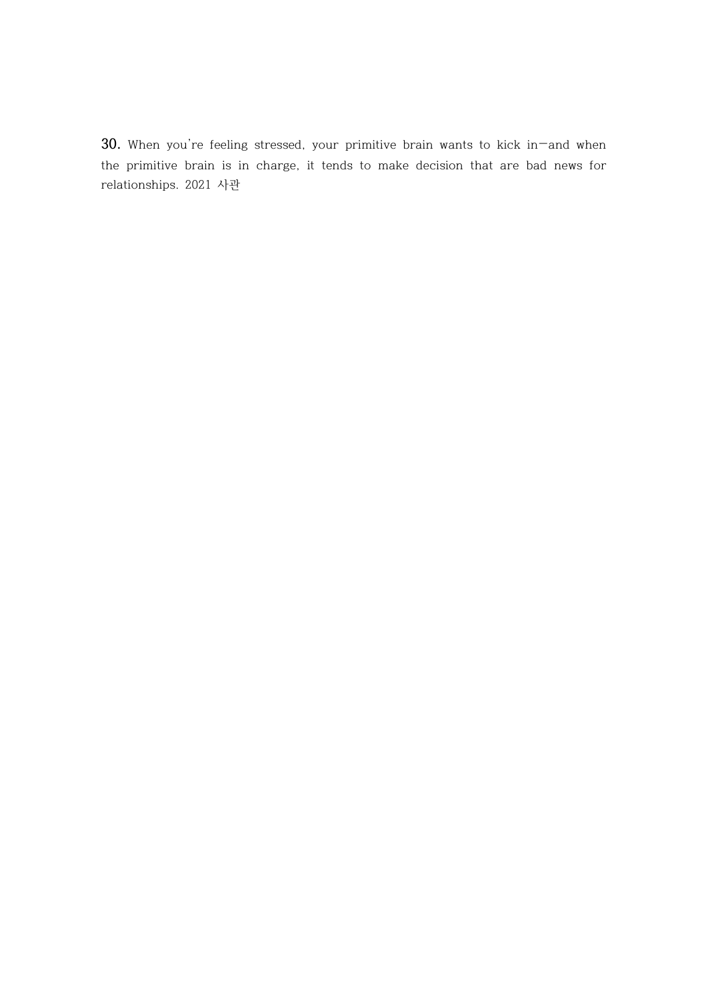**30.** When you're feeling stressed, your primitive brain wants to kick in—and when the primitive brain is in charge, it tends to make decision that are bad news for relationships. 2021 사관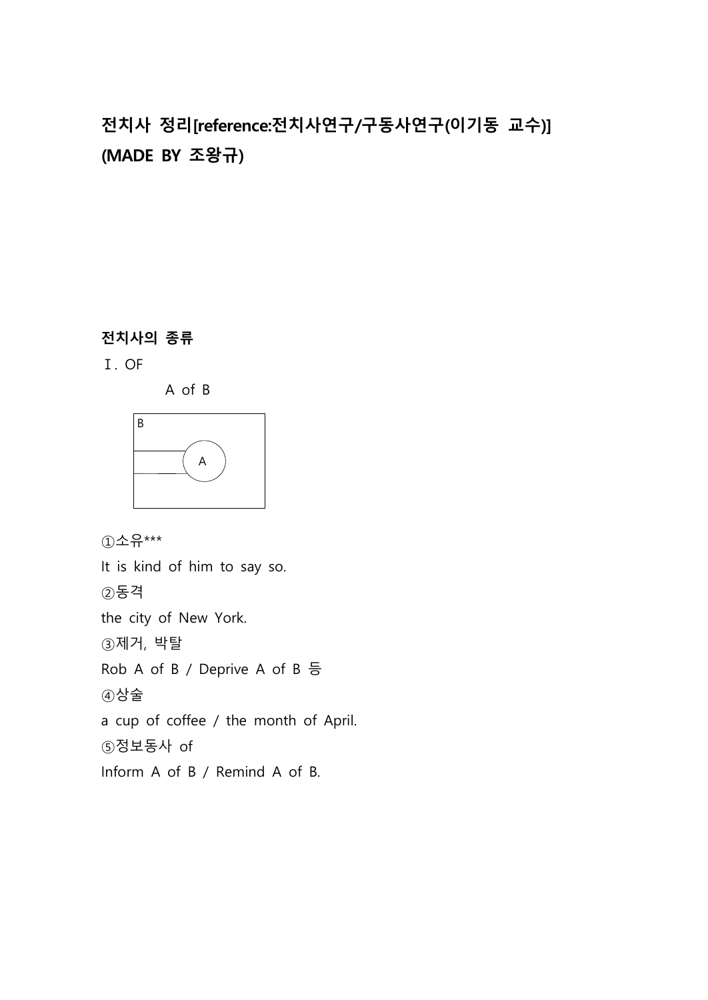# **전치사 정리[reference:전치사연구/구동사연구(이기동 교수)] (MADE BY 조왕규)**

# **전치사의 종류**

Ⅰ. OF

A of B



①소유\*\*\*

It is kind of him to say so. ②동격 the city of New York. ③제거, 박탈 Rob A of B / Deprive A of B 등 ④상술 a cup of coffee / the month of April. ⑤정보동사 of Inform A of B / Remind A of B.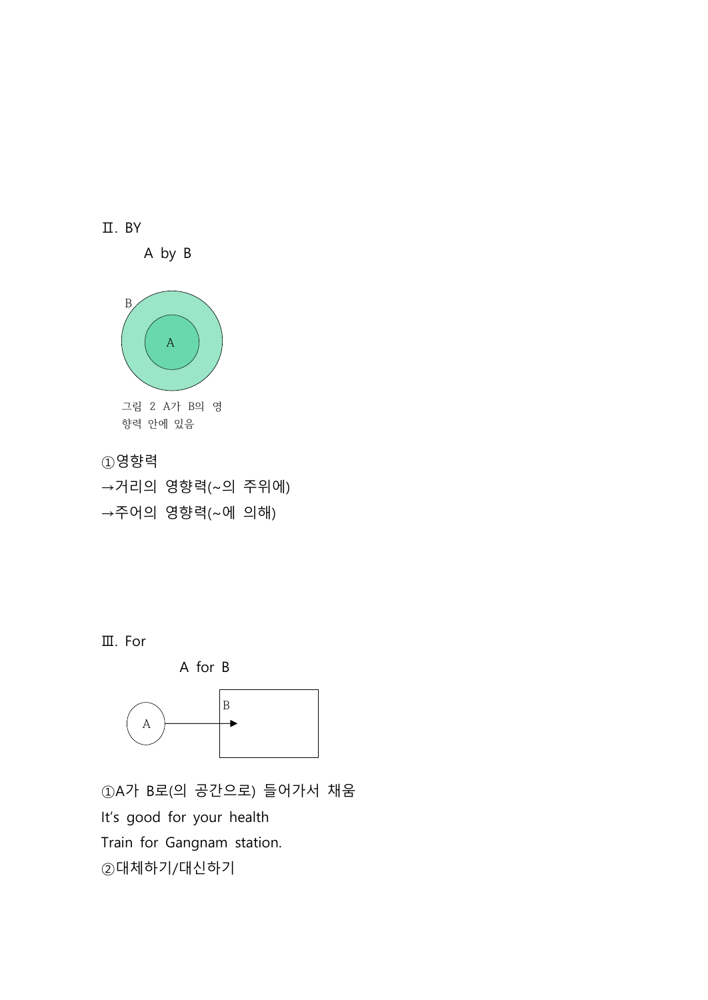

→거리의 영향력(~의 주위에) →주어의 영향력(~에 의해)

Ⅲ. For



①A가 B로(의 공간으로) 들어가서 채움 It's good for your health Train for Gangnam station. ②대체하기/대신하기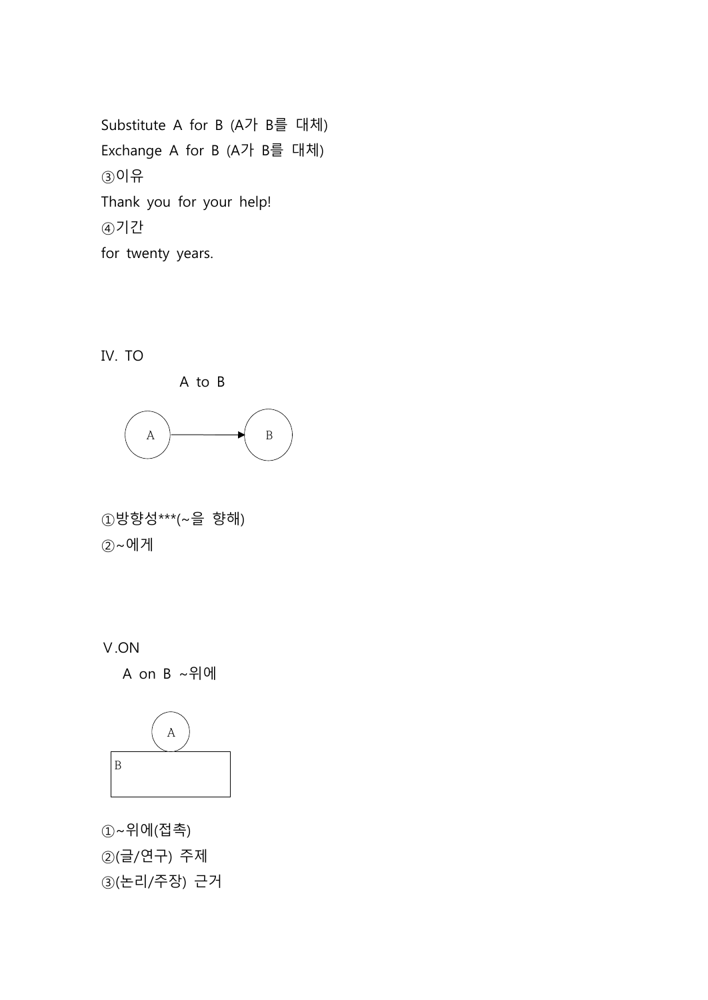Substitute A for B (A가 B를 대체) Exchange A for B (A가 B를 대체) ③이유 Thank you for your help! ④기간 for twenty years.

Ⅳ. TO





①방향성\*\*\*(~을 향해) ②~에게

Ⅴ.ON

A on B ~위에



①~위에(접촉) ②(글/연구) 주제 ③(논리/주장) 근거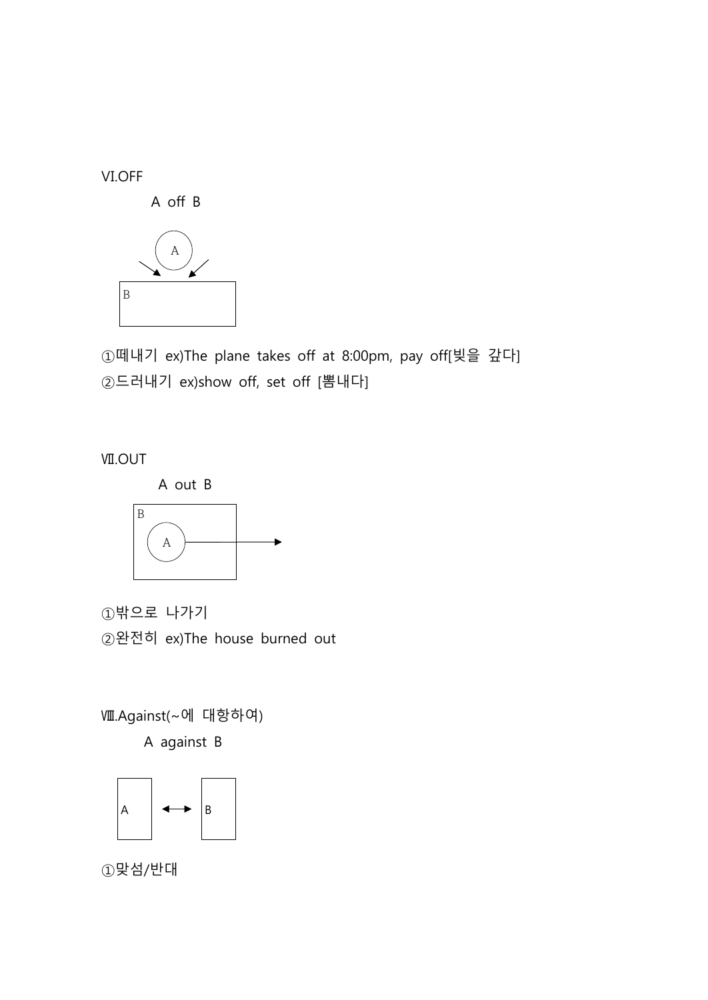Ⅵ.OFF





①떼내기 ex)The plane takes off at 8:00pm, pay off[빚을 갚다] ②드러내기 ex)show off, set off [뽐내다]

Ⅶ.OUT



①밖으로 나가기 ②완전히 ex)The house burned out

Ⅷ.Against(~에 대항하여) A against B



①맞섬/반대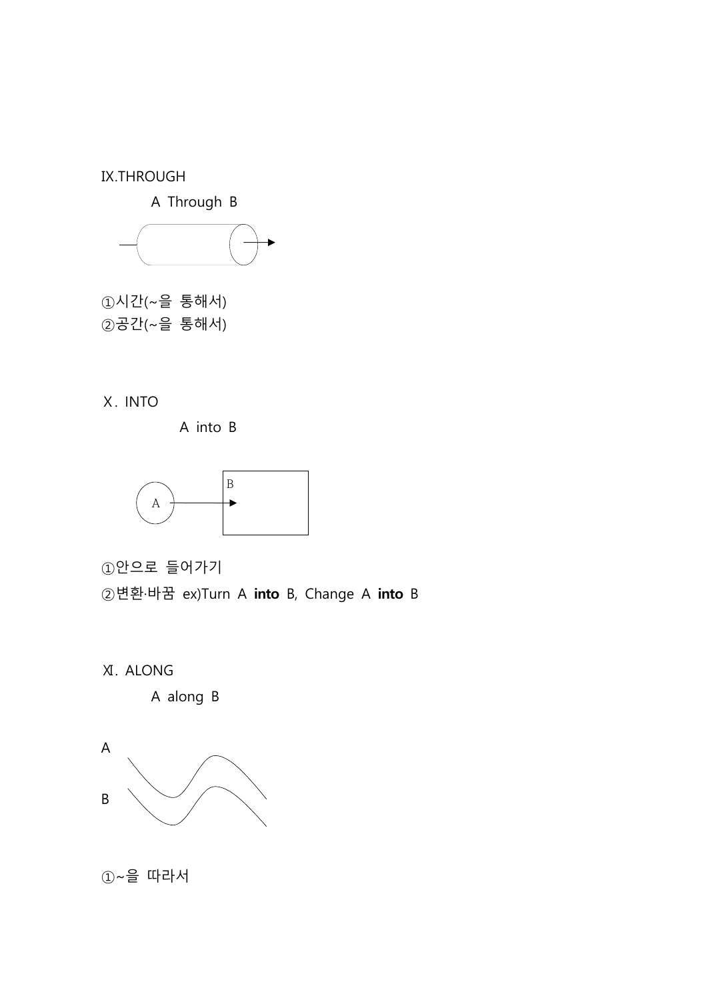Ⅸ.THROUGH

A Through B



 $(1)$ 시간 $(-)$ 을 통해서 $)$ ②공간(~을 통해서)

Ⅹ. INTO

A into B



①안으로 들어가기

②변환·바꿈 ex)Turn A **into** B, Change A **into** B



A along B



①~을 따라서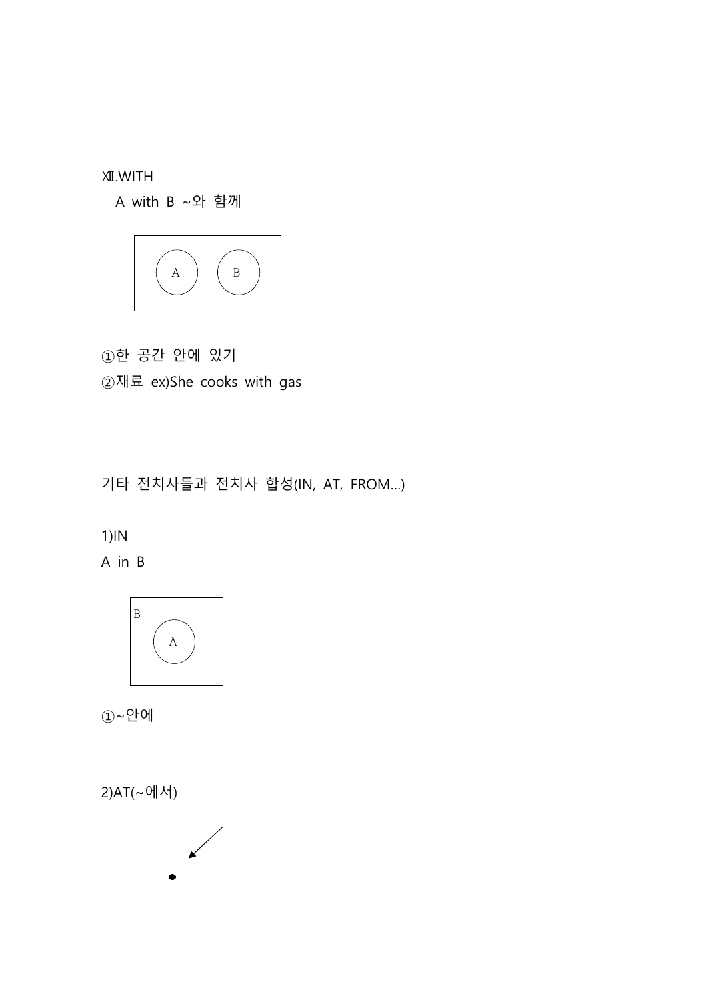Ⅻ.WITH

A with B ~와 함께



①한 공간 안에 있기 ②재료 ex)She cooks with gas

기타 전치사들과 전치사 합성(IN, AT, FROM…)

# 1)IN

A in B



①~안에

2)AT(~에서)

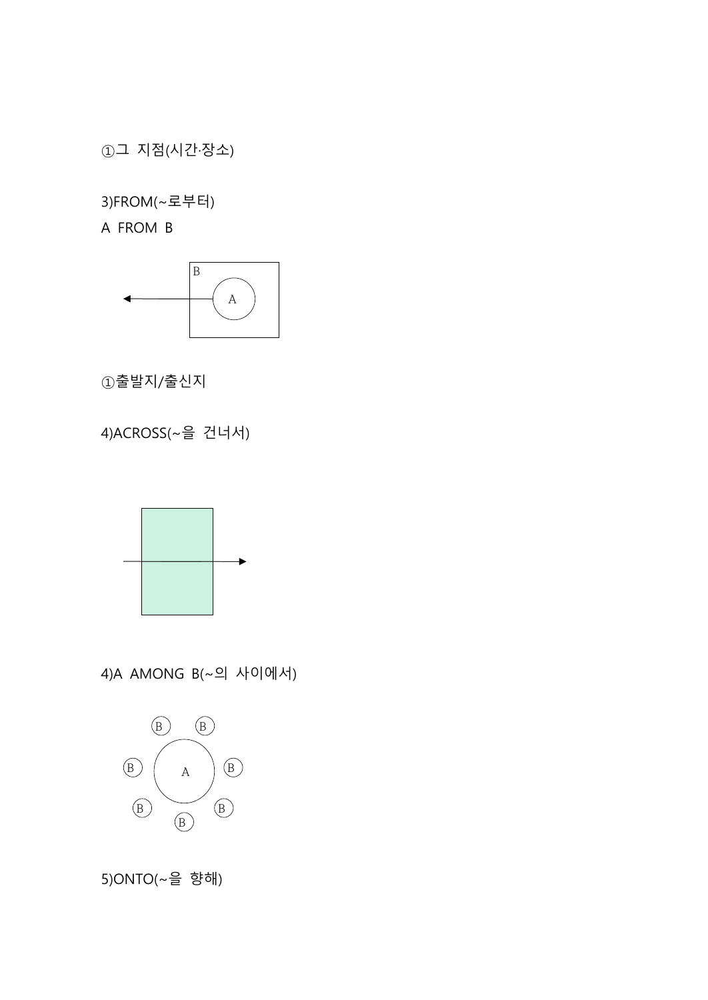①그 지점(시간·장소)

3)FROM(~로부터)

A FROM B



①출발지/출신지

4)ACROSS(~을 건너서)



4)A AMONG B(~의 사이에서)



5)ONTO(~을 향해)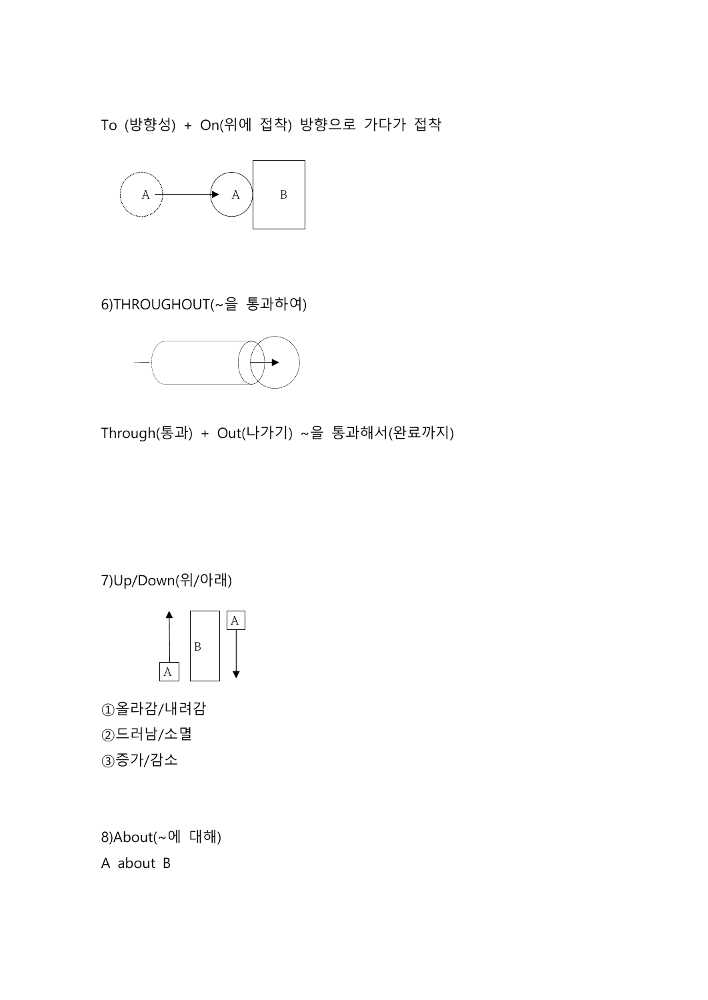To (방향성) + On(위에 접착) 방향으로 가다가 접착



6)THROUGHOUT(~을 통과하여)



Through(통과) + Out(나가기) ~을 통과해서(완료까지)

7)Up/Down(위/아래)



①올라감/내려감 ②드러남/소멸 ③증가/감소

8)About(~에 대해) A about B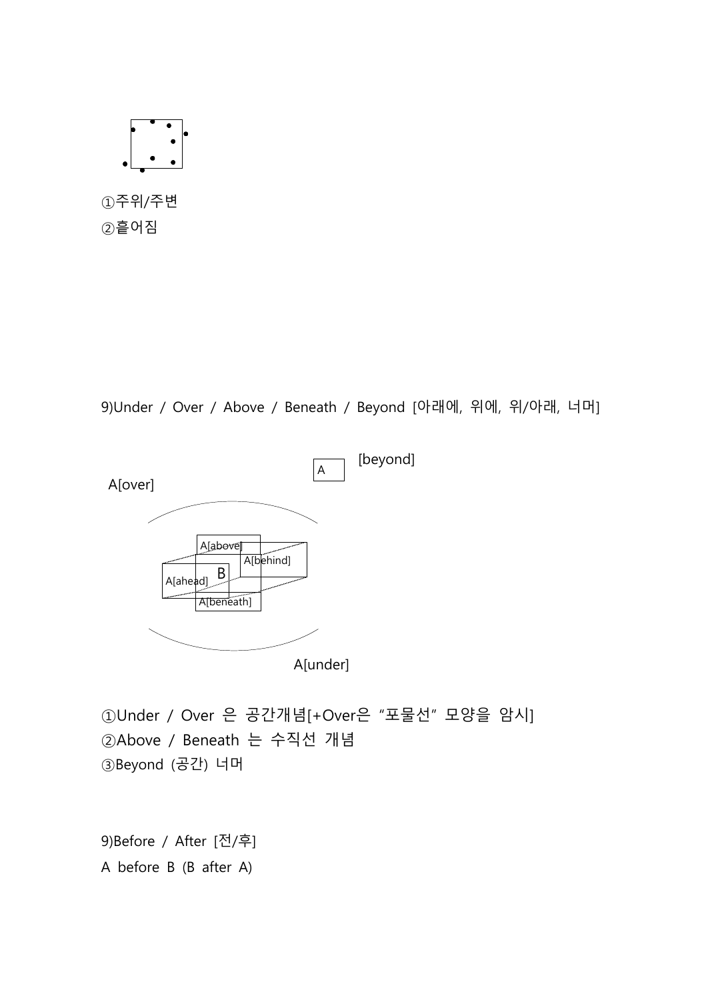

9)Under / Over / Above / Beneath / Beyond [아래에, 위에, 위/아래, 너머]



①Under / Over 은 공간개념[+Over은 "포물선" 모양을 암시] ②Above / Beneath 는 수직선 개념 ③Beyond (공간) 너머

9)Before / After [전/후] A before B (B after A)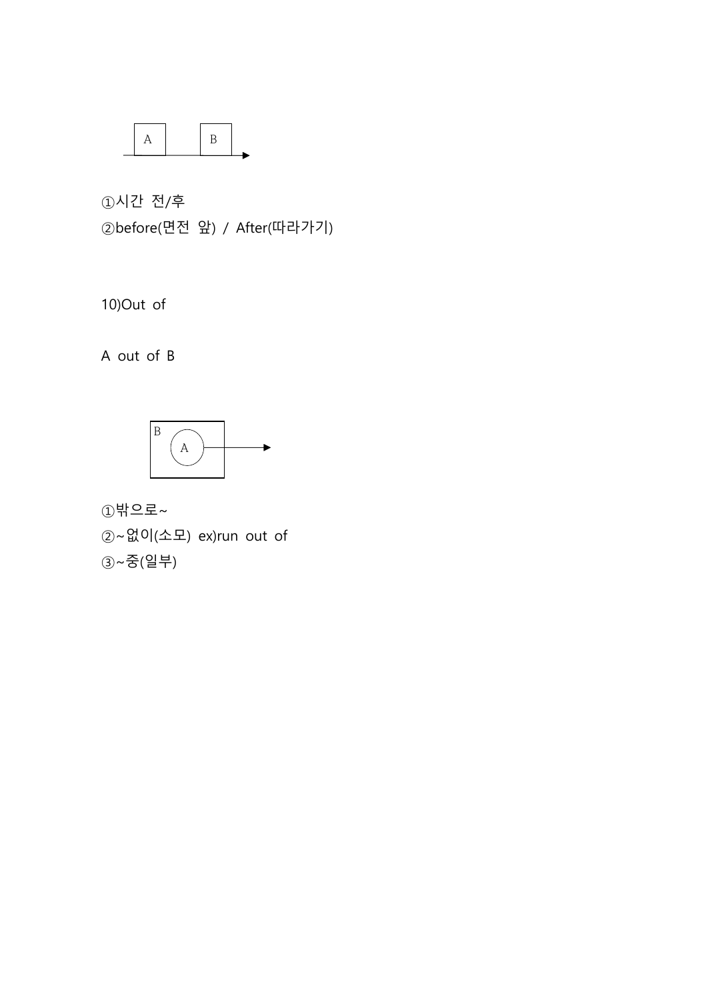

①시간 전/후 ②before(면전 앞) / After(따라가기)

10)Out of

A out of B



①밖으로~

②~없이(소모) ex)run out of

③~중(일부)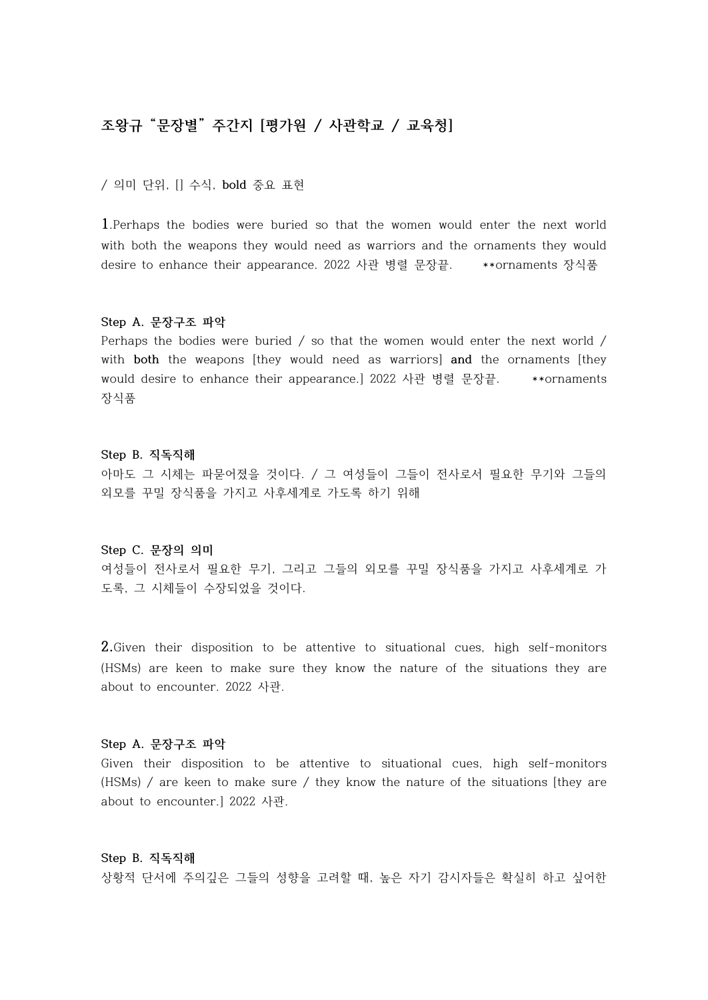# **조왕규 "문장별" 주간지 [평가원 / 사관학교 / 교육청]**

/ 의미 단위, [] 수식, **bold** 중요 표현

**1**.Perhaps the bodies were buried so that the women would enter the next world with both the weapons they would need as warriors and the ornaments they would desire to enhance their appearance. 2022 사관 병렬 문장끝. \*\*ornaments 장식품

#### **Step A. 문장구조 파악**

Perhaps the bodies were buried / so that the women would enter the next world / with **both** the weapons [they would need as warriors] **and** the ornaments [they would desire to enhance their appearance.] 2022 사관 병렬 문장끝. \*\*ornaments 장식품

#### **Step B. 직독직해**

아마도 그 시체는 파묻어졌을 것이다. / 그 여성들이 그들이 전사로서 필요한 무기와 그들의 외모를 꾸밀 장식품을 가지고 사후세계로 가도록 하기 위해

#### **Step C. 문장의 의미**

여성들이 전사로서 필요한 무기, 그리고 그들의 외모를 꾸밀 장식품을 가지고 사후세계로 가 도록, 그 시체들이 수장되었을 것이다.

**2.**Given their disposition to be attentive to situational cues, high self-monitors (HSMs) are keen to make sure they know the nature of the situations they are about to encounter. 2022 사관.

#### **Step A. 문장구조 파악**

Given their disposition to be attentive to situational cues, high self-monitors (HSMs) / are keen to make sure / they know the nature of the situations [they are about to encounter.] 2022 사관.

**Step B. 직독직해** 상황적 단서에 주의깊은 그들의 성향을 고려할 때, 높은 자기 감시자들은 확실히 하고 싶어한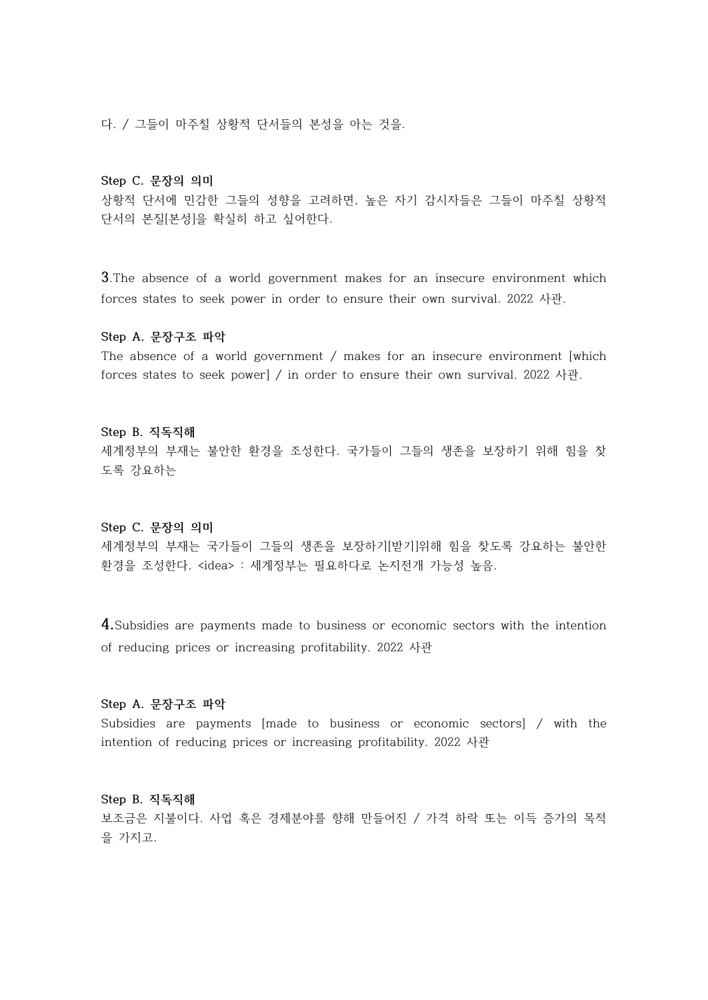다. / 그들이 마주칠 상황적 단서들의 본성을 아는 것을.

# **Step C. 문장의 의미**

상황적 단서에 민감한 그들의 성향을 고려하면, 높은 자기 감시자들은 그들이 마주칠 상황적 단서의 본질[본성]을 확실히 하고 싶어한다.

**3**.The absence of a world government makes for an insecure environment which forces states to seek power in order to ensure their own survival. 2022 사관.

#### **Step A. 문장구조 파악**

The absence of a world government / makes for an insecure environment [which forces states to seek power] / in order to ensure their own survival. 2022 사관.

#### **Step B. 직독직해**

세계정부의 부재는 불안한 환경을 조성한다. 국가들이 그들의 생존을 보장하기 위해 힘을 찾 도록 강요하는

# **Step C. 문장의 의미**

세계정부의 부재는 국가들이 그들의 생존을 보장하기[받기]위해 힘을 찾도록 강요하는 불안한 환경을 조성한다. <idea> : 세계정부는 필요하다로 논지전개 가능성 높음.

**4.**Subsidies are payments made to business or economic sectors with the intention of reducing prices or increasing profitability. 2022 사관

# **Step A. 문장구조 파악**

Subsidies are payments [made to business or economic sectors] / with the intention of reducing prices or increasing profitability. 2022 사관

#### **Step B. 직독직해**

보조금은 지불이다. 사업 혹은 경제분야를 향해 만들어진 / 가격 하락 또는 이득 증가의 목적 을 가지고.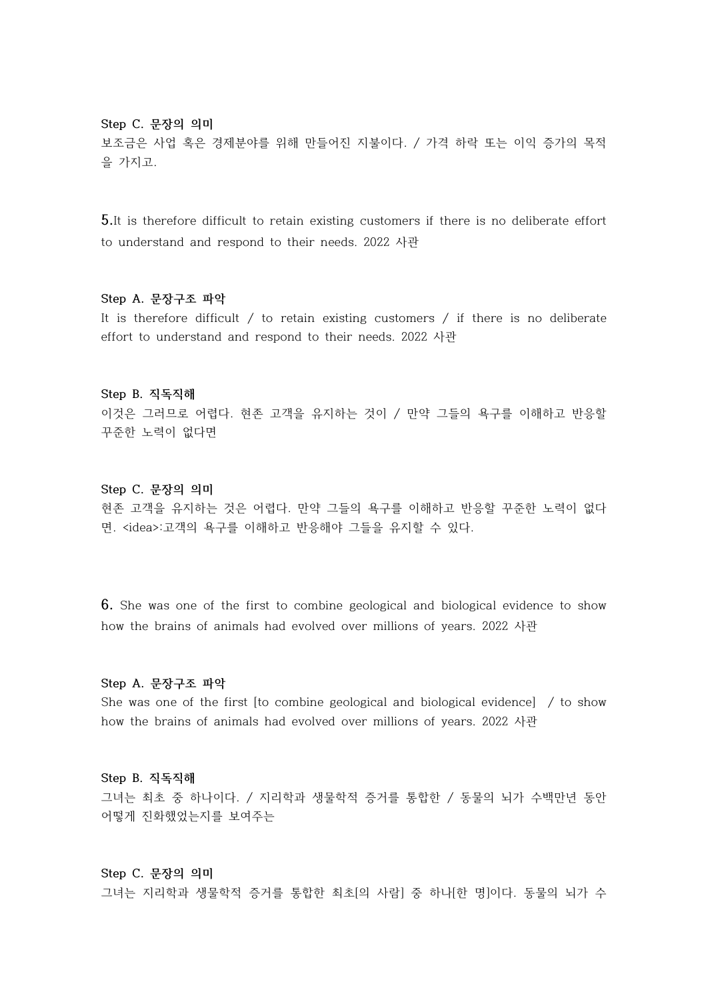# **Step C. 문장의 의미**

보조금은 사업 혹은 경제분야를 위해 만들어진 지불이다. / 가격 하락 또는 이익 증가의 목적 을 가지고.

**5.**It is therefore difficult to retain existing customers if there is no deliberate effort to understand and respond to their needs. 2022 사관

#### **Step A. 문장구조 파악**

It is therefore difficult / to retain existing customers / if there is no deliberate effort to understand and respond to their needs. 2022 사관

# **Step B. 직독직해**

이것은 그러므로 어렵다. 현존 고객을 유지하는 것이 / 만약 그들의 욕구를 이해하고 반응할 꾸준한 노력이 없다면

#### **Step C. 문장의 의미**

현존 고객을 유지하는 것은 어렵다. 만약 그들의 욕구를 이해하고 반응할 꾸준한 노력이 없다 면. <idea>:고객의 욕구를 이해하고 반응해야 그들을 유지할 수 있다.

**6.** She was one of the first to combine geological and biological evidence to show how the brains of animals had evolved over millions of years. 2022 사관

#### **Step A. 문장구조 파악**

She was one of the first [to combine geological and biological evidence] / to show how the brains of animals had evolved over millions of years. 2022 사관

# **Step B. 직독직해**

그녀는 최초 중 하나이다. / 지리학과 생물학적 증거를 통합한 / 동물의 뇌가 수백만년 동안 어떻게 진화했었는지를 보여주는

## **Step C. 문장의 의미**

그녀는 지리학과 생물학적 증거를 통합한 최초[의 사람] 중 하나[한 명]이다. 동물의 뇌가 수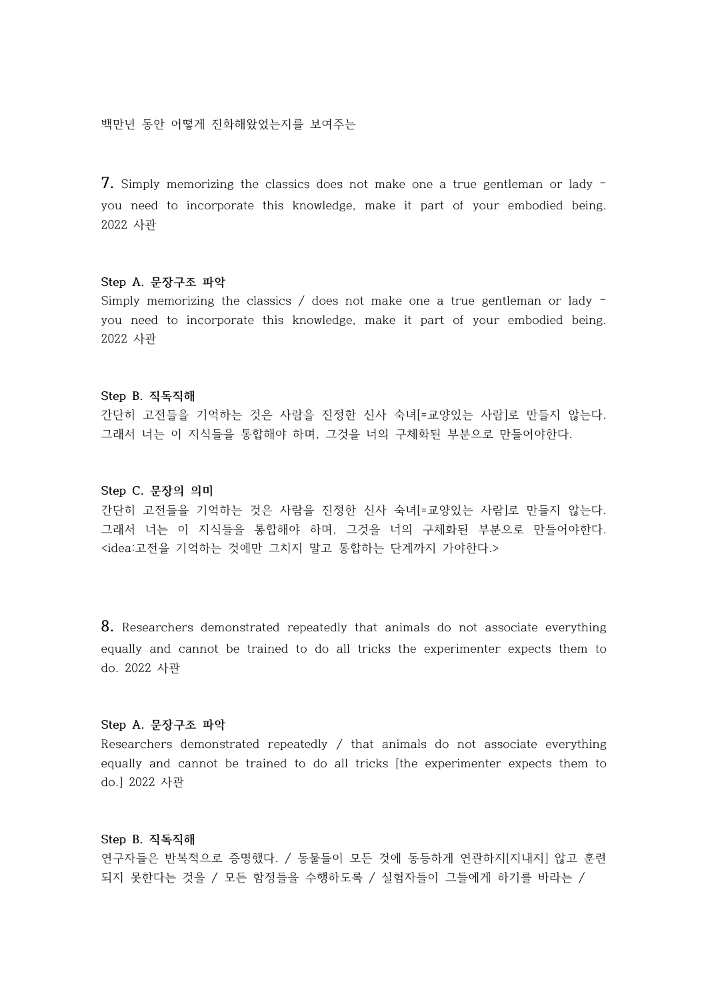백만년 동안 어떻게 진화해왔었는지를 보여주는

**7.** Simply memorizing the classics does not make one a true gentleman or lady – you need to incorporate this knowledge, make it part of your embodied being. 2022 사관

## **Step A. 문장구조 파악**

Simply memorizing the classics / does not make one a true gentleman or lady – you need to incorporate this knowledge, make it part of your embodied being. 2022 사관

#### **Step B. 직독직해**

간단히 고전들을 기억하는 것은 사람을 진정한 신사 숙녀[=교양있는 사람]로 만들지 않는다.<br>그래서 너는 이 지식들을 통합해야 하며, 그것을 너의 구체화된 부분으로 만들어야한다.

#### **Step C. 문장의 의미**

간단히 고전들을 기억하는 것은 사람을 진정한 신사 숙녀[=교양있는 사람]로 만들지 않는다.<br>그래서 너는 이 지식들을 통합해야 하며, 그것을 너의 구체화된 부분으로 만들어야한다.<br><idea:고전을 기억하는 것에만 그치지 말고 통합하는 단계까지 가야한다.>

**8.** Researchers demonstrated repeatedly that animals do not associate everything equally and cannot be trained to do all tricks the experimenter expects them to do. 2022 사관

# **Step A. 문장구조 파악**

Researchers demonstrated repeatedly / that animals do not associate everything equally and cannot be trained to do all tricks [the experimenter expects them to do.] 2022 사관

# **Step B. 직독직해**

연구자들은 반복적으로 증명했다. / 동물들이 모든 것에 동등하게 연관하지[지내지] 않고 훈련 되지 못한다는 것을 / 모든 함정들을 수행하도록 / 실험자들이 그들에게 하기를 바라는 /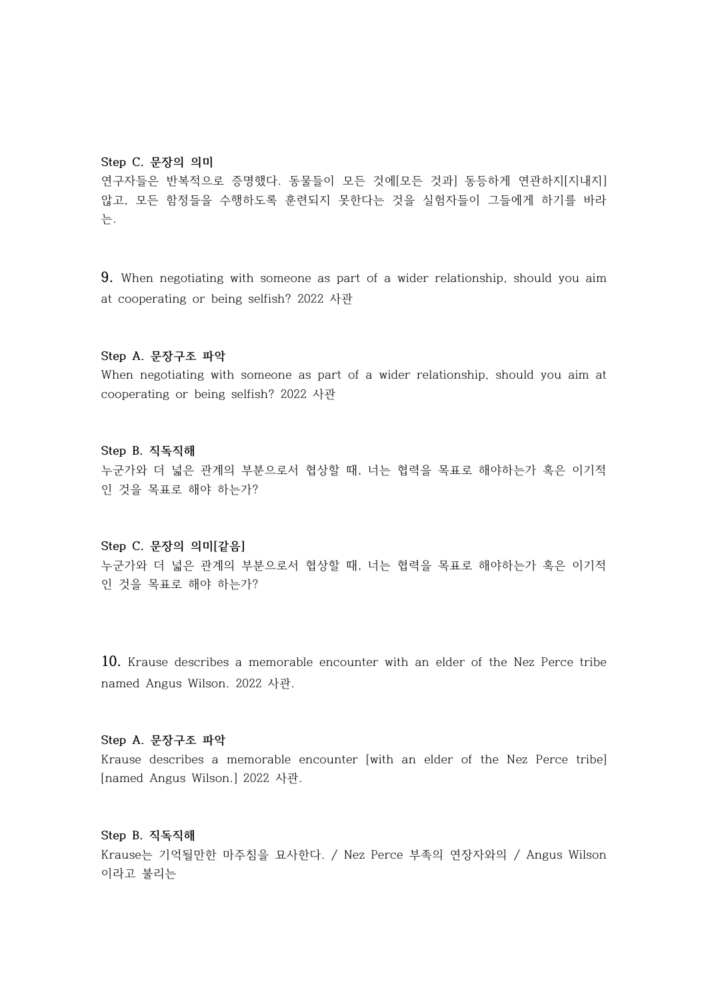#### **Step C. 문장의 의미**

연구자들은 반복적으로 증명했다. 동물들이 모든 것에[모든 것과] 동등하게 연관하지[지내지] 않고, 모든 함정들을 수행하도록 훈련되지 못한다는 것을 실험자들이 그들에게 하기를 바라 는.

**9.** When negotiating with someone as part of a wider relationship, should you aim at cooperating or being selfish? 2022 사관

## **Step A. 문장구조 파악**

When negotiating with someone as part of a wider relationship, should you aim at cooperating or being selfish? 2022 사관

#### **Step B. 직독직해**

누군가와 더 넓은 관계의 부분으로서 협상할 때, 너는 협력을 목표로 해야하는가 혹은 이기적 인 것을 목표로 해야 하는가?

### **Step C. 문장의 의미[같음]**

누군가와 더 넓은 관계의 부분으로서 협상할 때, 너는 협력을 목표로 해야하는가 혹은 이기적 인 것을 목표로 해야 하는가?

**10.** Krause describes a memorable encounter with an elder of the Nez Perce tribe named Angus Wilson. 2022 사관.

#### **Step A. 문장구조 파악**

Krause describes a memorable encounter [with an elder of the Nez Perce tribe] [named Angus Wilson.] 2022 사관.

# **Step B. 직독직해**

Krause는 기억될만한 마주침을 묘사한다. / Nez Perce 부족의 연장자와의 / Angus Wilson 이라고 불리는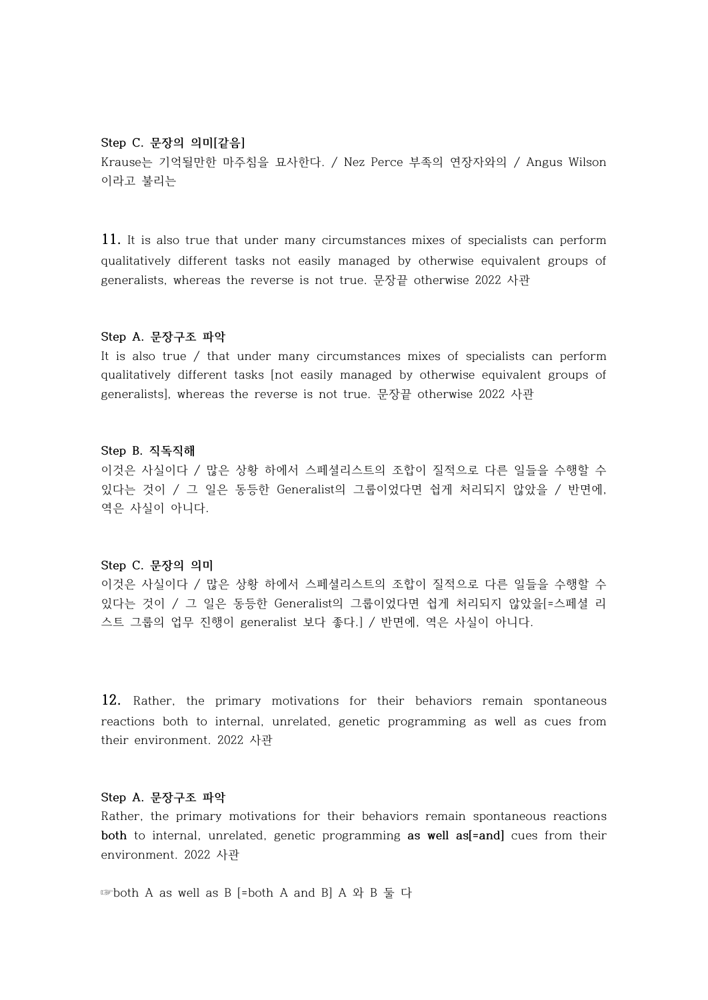# **Step C. 문장의 의미[같음]**

Krause는 기억될만한 마주침을 묘사한다. / Nez Perce 부족의 연장자와의 / Angus Wilson 이라고 불리는

**11.** It is also true that under many circumstances mixes of specialists can perform qualitatively different tasks not easily managed by otherwise equivalent groups of generalists, whereas the reverse is not true. 문장끝 otherwise 2022 사관

# **Step A. 문장구조 파악**

It is also true / that under many circumstances mixes of specialists can perform qualitatively different tasks [not easily managed by otherwise equivalent groups of generalists], whereas the reverse is not true. 문장끝 otherwise 2022 사관

#### **Step B. 직독직해**

이것은 사실이다 / 많은 상황 하에서 스페셜리스트의 조합이 질적으로 다른 일들을 수행할 수 있다는 것이 / 그 일은 동등한 Generalist의 그룹이었다면 쉽게 처리되지 않았을 / 반면에,<br>역은 사실이 아니다.

#### **Step C. 문장의 의미**

이것은 사실이다 / 많은 상황 하에서 스페셜리스트의 조합이 질적으로 다른 일들을 수행할 수 있다는 것이 / 그 일은 동등한 Generalist의 그룹이었다면 쉽게 처리되지 않았을[=스페셜 리 스트 그룹의 업무 진행이 generalist 보다 좋다.] / 반면에, 역은 사실이 아니다.

**12.** Rather, the primary motivations for their behaviors remain spontaneous reactions both to internal, unrelated, genetic programming as well as cues from their environment. 2022 사관

### **Step A. 문장구조 파악**

Rather, the primary motivations for their behaviors remain spontaneous reactions **both** to internal, unrelated, genetic programming **as well as[=and]** cues from their environment. 2022 사관

☞both A as well as B [=both A and B] A 와 B 둘 다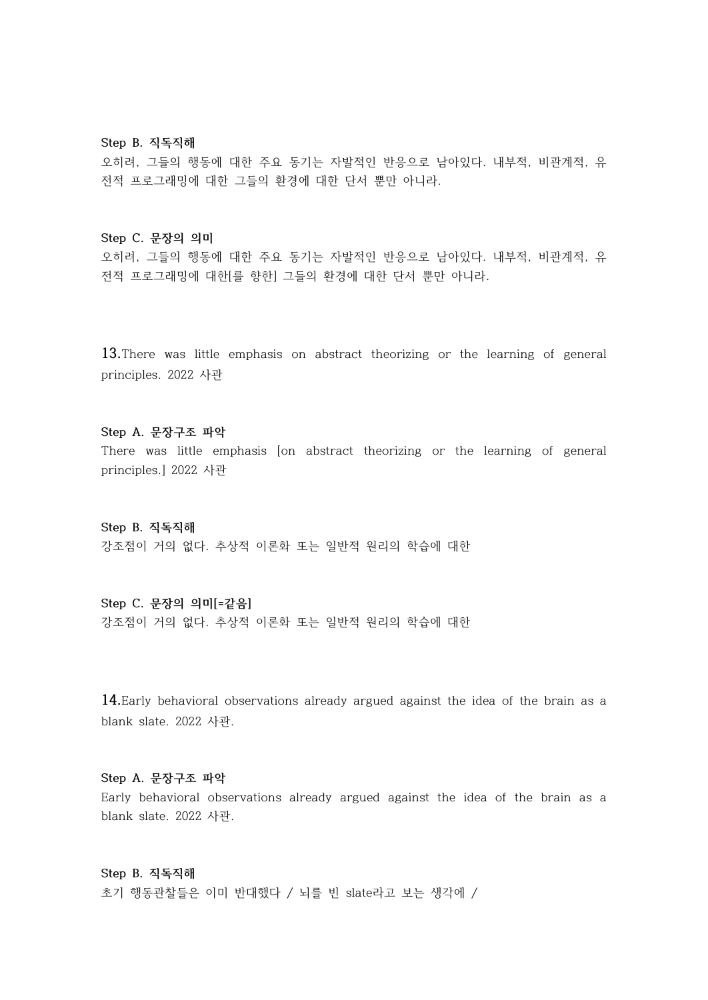#### **Step B. 직독직해**

오히려, 그들의 행동에 대한 주요 동기는 자발적인 반응으로 남아있다. 내부적, 비관계적, 유 전적 프로그래밍에 대한 그들의 환경에 대한 단서 뿐만 아니라.

## **Step C. 문장의 의미**

오히려, 그들의 행동에 대한 주요 동기는 자발적인 반응으로 남아있다. 내부적, 비관계적, 유 전적 프로그래밍에 대한[를 향한] 그들의 환경에 대한 단서 뿐만 아니라.

**13.**There was little emphasis on abstract theorizing or the learning of general principles. 2022 사관

#### **Step A. 문장구조 파악**

There was little emphasis [on abstract theorizing or the learning of general principles.] 2022 사관

**Step B. 직독직해** 강조점이 거의 없다. 추상적 이론화 또는 일반적 원리의 학습에 대한

# **Step C. 문장의 의미[=같음]**

강조점이 거의 없다. 추상적 이론화 또는 일반적 원리의 학습에 대한

**14.**Early behavioral observations already argued against the idea of the brain as a blank slate. 2022 사관.

# **Step A. 문장구조 파악**

Early behavioral observations already argued against the idea of the brain as a blank slate. 2022 사관.

#### **Step B. 직독직해**

초기 행동관찰들은 이미 반대했다 / 뇌를 빈 slate라고 보는 생각에 /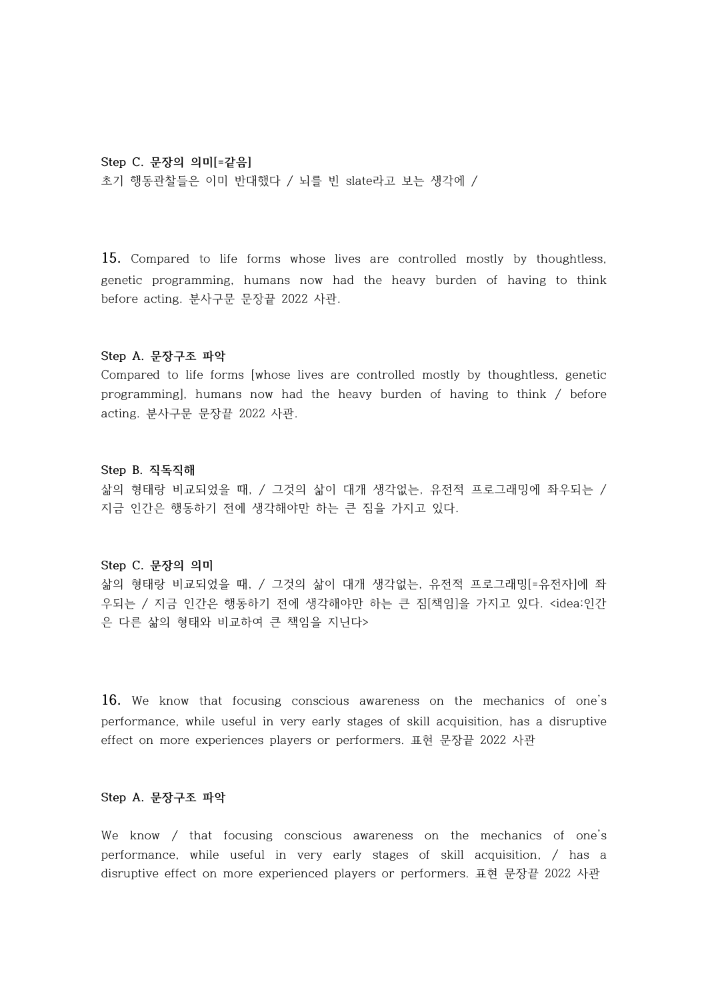#### **Step C. 문장의 의미[=같음]**

초기 행동관찰들은 이미 반대했다 / 뇌를 빈 slate라고 보는 생각에 /

**15.** Compared to life forms whose lives are controlled mostly by thoughtless, genetic programming, humans now had the heavy burden of having to think before acting. 분사구문 문장끝 2022 사관.

#### **Step A. 문장구조 파악**

Compared to life forms [whose lives are controlled mostly by thoughtless, genetic programming], humans now had the heavy burden of having to think / before acting. 분사구문 문장끝 2022 사관.

#### **Step B. 직독직해**

삶의 형태랑 비교되었을 때, / 그것의 삶이 대개 생각없는, 유전적 프로그래밍에 좌우되는 / 지금 인간은 행동하기 전에 생각해야만 하는 큰 짐을 가지고 있다.

#### **Step C. 문장의 의미**

삶의 형태랑 비교되었을 때, / 그것의 삶이 대개 생각없는, 유전적 프로그래밍[=유전자]에 좌 우되는 / 지금 인간은 행동하기 전에 생각해야만 하는 큰 짐[책임]을 가지고 있다. <idea:인간 은 다른 삶의 형태와 비교하여 큰 책임을 지닌다>

**16.** We know that focusing conscious awareness on the mechanics of one's performance, while useful in very early stages of skill acquisition, has a disruptive effect on more experiences players or performers. 표현 문장끝 2022 사관

### **Step A. 문장구조 파악**

We know / that focusing conscious awareness on the mechanics of one's performance, while useful in very early stages of skill acquisition, / has a disruptive effect on more experienced players or performers. 표현 문장끝 2022 사관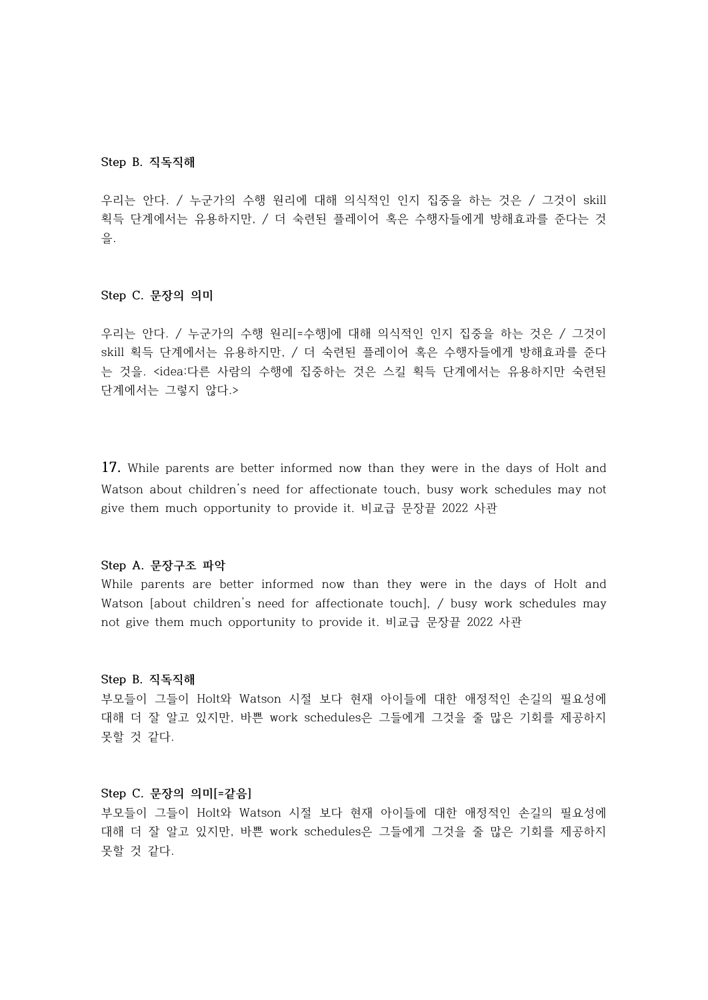#### **Step B. 직독직해**

우리는 안다. / 누군가의 수행 원리에 대해 의식적인 인지 집중을 하는 것은 / 그것이 skill 획득 단계에서는 유용하지만, / 더 숙련된 플레이어 혹은 수행자들에게 방해효과를 준다는 것 을.

# **Step C. 문장의 의미**

우리는 안다. / 누군가의 수행 원리[=수행]에 대해 의식적인 인지 집중을 하는 것은 / 그것이 skill 획득 단계에서는 유용하지만, / 더 숙련된 플레이어 혹은 수행자들에게 방해효과를 준다 는 것을. <idea:다른 사람의 수행에 집중하는 것은 스킬 획득 단계에서는 유용하지만 숙련된 단계에서는 그렇지 않다.>

**17.** While parents are better informed now than they were in the days of Holt and Watson about children's need for affectionate touch, busy work schedules may not give them much opportunity to provide it. 비교급 문장끝 2022 사관

# **Step A. 문장구조 파악**

While parents are better informed now than they were in the days of Holt and Watson [about children's need for affectionate touch], / busy work schedules may not give them much opportunity to provide it. 비교급 문장끝 2022 사관

#### **Step B. 직독직해**

부모들이 그들이 Holt와 Watson 시절 보다 현재 아이들에 대한 애정적인 손길의 필요성에 대해 더 잘 알고 있지만, 바쁜 work schedules은 그들에게 그것을 줄 많은 기회를 제공하지 못할 것 같다.

# **Step C. 문장의 의미[=같음]**

부모들이 그들이 Holt와 Watson 시절 보다 현재 아이들에 대한 애정적인 손길의 필요성에 대해 더 잘 알고 있지만, 바쁜 work schedules은 그들에게 그것을 줄 많은 기회를 제공하지 못할 것 같다.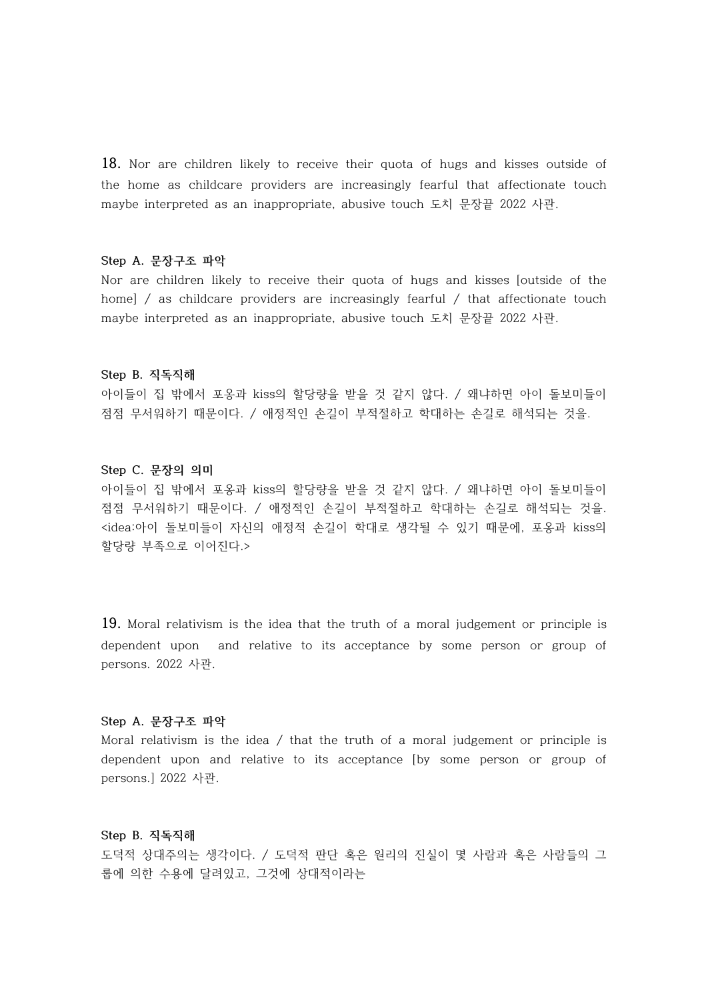**18.** Nor are children likely to receive their quota of hugs and kisses outside of the home as childcare providers are increasingly fearful that affectionate touch maybe interpreted as an inappropriate, abusive touch 도치 문장끝 2022 사관.

#### **Step A. 문장구조 파악**

Nor are children likely to receive their quota of hugs and kisses [outside of the home] / as childcare providers are increasingly fearful / that affectionate touch maybe interpreted as an inappropriate, abusive touch 도치 문장끝 2022 사관.

#### **Step B. 직독직해**

아이들이 집 밖에서 포옹과 kiss의 할당량을 받을 것 같지 않다. / 왜냐하면 아이 돌보미들이 점점 무서워하기 때문이다. / 애정적인 손길이 부적절하고 학대하는 손길로 해석되는 것을.

#### **Step C. 문장의 의미**

아이들이 집 밖에서 포옹과 kiss의 할당량을 받을 것 같지 않다. / 왜냐하면 아이 돌보미들이 점점 무서워하기 때문이다. / 애정적인 손길이 부적절하고 학대하는 손길로 해석되는 것을.<br><idea:아이 돌보미들이 자신의 애정적 손길이 학대로 생각될 수 있기 때문에, 포옹과 kiss의 할당량 부족으로 이어진다.>

**19.** Moral relativism is the idea that the truth of a moral judgement or principle is dependent upon and relative to its acceptance by some person or group of persons. 2022 사관.

#### **Step A. 문장구조 파악**

Moral relativism is the idea / that the truth of a moral judgement or principle is dependent upon and relative to its acceptance [by some person or group of persons.] 2022 사관.

# **Step B. 직독직해**

도덕적 상대주의는 생각이다. / 도덕적 판단 혹은 원리의 진실이 몇 사람과 혹은 사람들의 그 룹에 의한 수용에 달려있고, 그것에 상대적이라는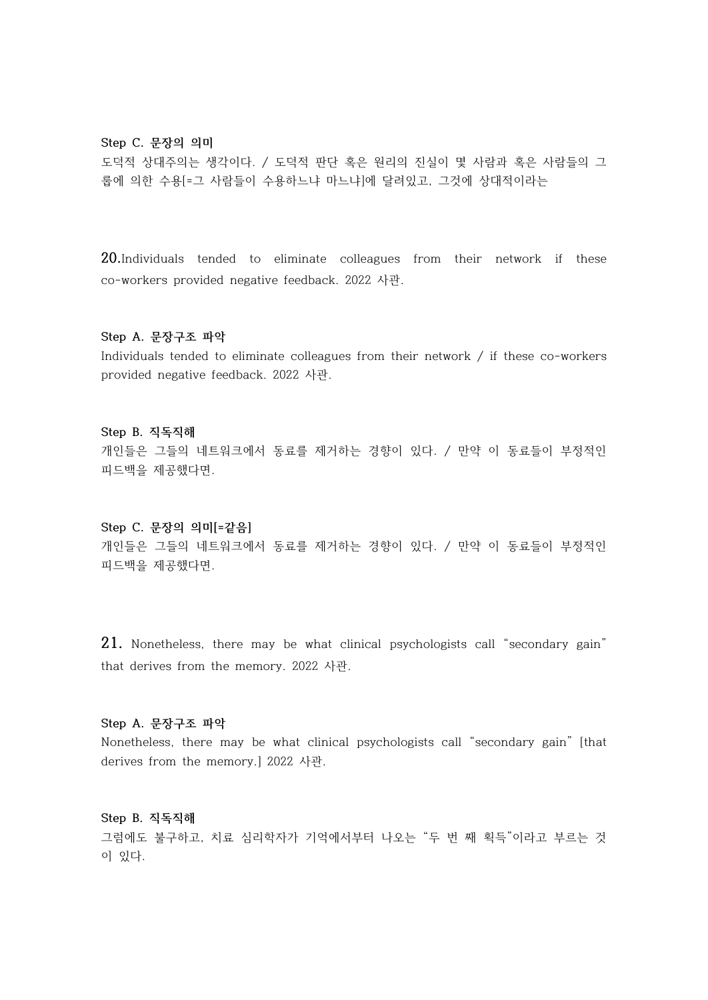#### **Step C. 문장의 의미**

도덕적 상대주의는 생각이다. / 도덕적 판단 혹은 원리의 진실이 몇 사람과 혹은 사람들의 그 룹에 의한 수용[=그 사람들이 수용하느냐 마느냐]에 달려있고, 그것에 상대적이라는

**20.**Individuals tended to eliminate colleagues from their network if these co-workers provided negative feedback. 2022 사관.

#### **Step A. 문장구조 파악**

Individuals tended to eliminate colleagues from their network / if these co-workers provided negative feedback. 2022 사관.

#### **Step B. 직독직해**

개인들은 그들의 네트워크에서 동료를 제거하는 경향이 있다. / 만약 이 동료들이 부정적인 피드백을 제공했다면.

#### **Step C. 문장의 의미[=같음]**

개인들은 그들의 네트워크에서 동료를 제거하는 경향이 있다. / 만약 이 동료들이 부정적인 피드백을 제공했다면.

**21.** Nonetheless, there may be what clinical psychologists call "secondary gain" that derives from the memory. 2022 사관.

#### **Step A. 문장구조 파악**

Nonetheless, there may be what clinical psychologists call "secondary gain" [that derives from the memory.] 2022 사관.

**Step B. 직독직해** 그럼에도 불구하고, 치료 심리학자가 기억에서부터 나오는 "두 번 째 획득"이라고 부르는 것 이 있다.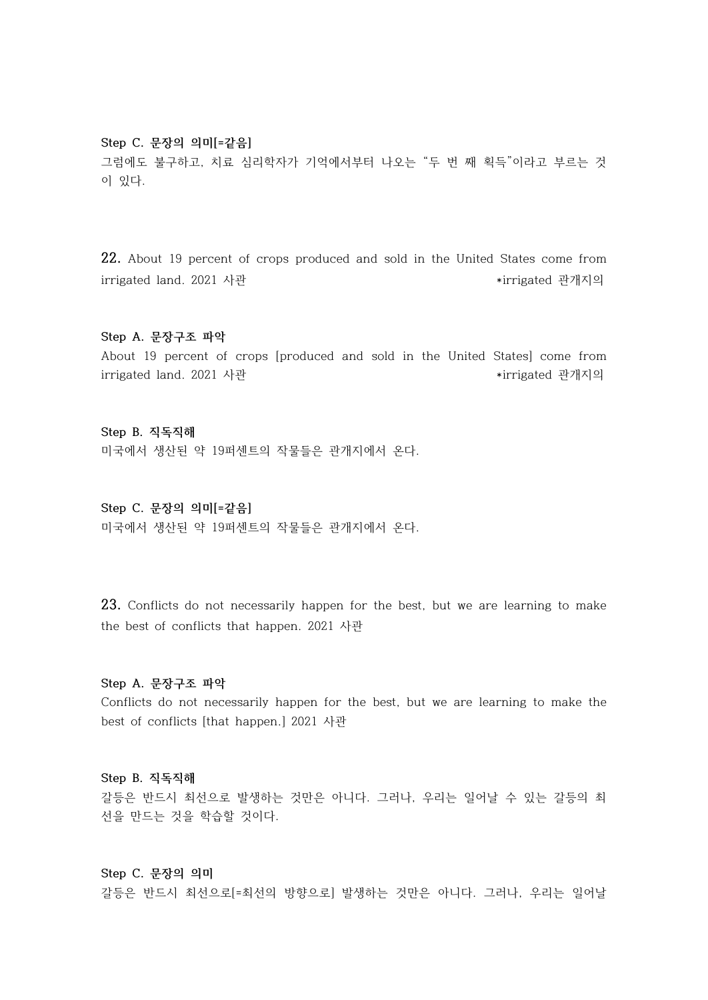#### **Step C. 문장의 의미[=같음]**

그럼에도 불구하고, 치료 심리학자가 기억에서부터 나오는 "두 번 째 획득"이라고 부르는 것 이 있다.

**22.** About 19 percent of crops produced and sold in the United States come from irrigated land. 2021 사관 \*irrigated 관개지의

#### **Step A. 문장구조 파악**

About 19 percent of crops [produced and sold in the United States] come from irrigated land. 2021 사관 \*irrigated 관개지의

**Step B. 직독직해**

미국에서 생산된 약 19퍼센트의 작물들은 관개지에서 온다.

**Step C. 문장의 의미[=같음]** 미국에서 생산된 약 19퍼센트의 작물들은 관개지에서 온다.

**23.** Conflicts do not necessarily happen for the best, but we are learning to make the best of conflicts that happen. 2021 사관

#### **Step A. 문장구조 파악**

Conflicts do not necessarily happen for the best, but we are learning to make the best of conflicts [that happen.] 2021 사관

# **Step B. 직독직해**

갈등은 반드시 최선으로 발생하는 것만은 아니다. 그러나, 우리는 일어날 수 있는 갈등의 최 선을 만드는 것을 학습할 것이다.

## **Step C. 문장의 의미**

갈등은 반드시 최선으로[=최선의 방향으로] 발생하는 것만은 아니다. 그러나, 우리는 일어날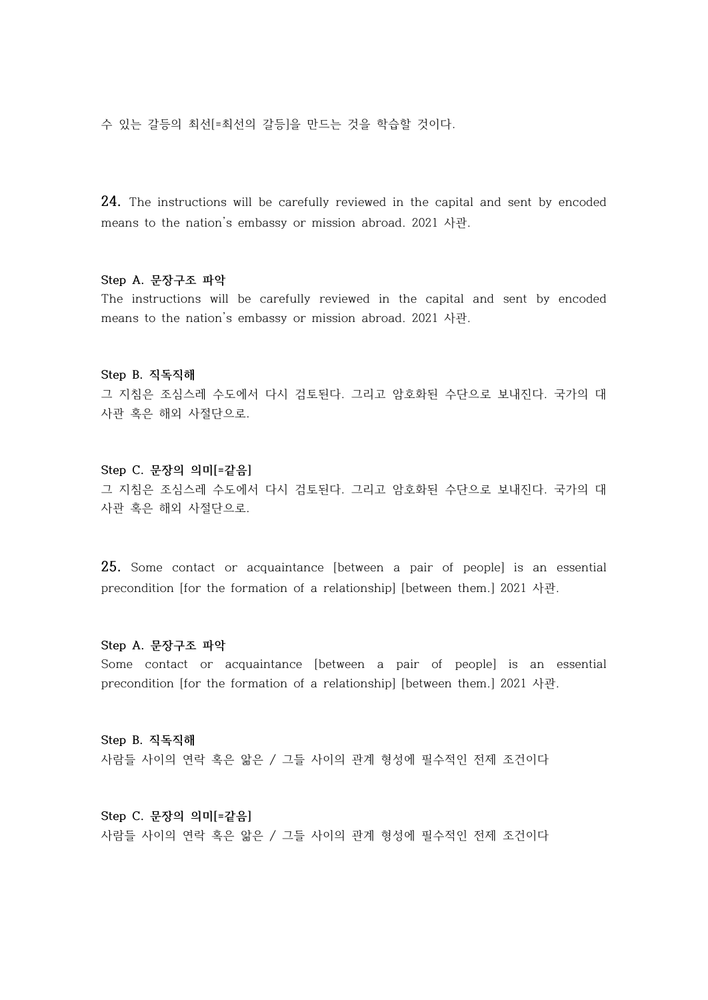수 있는 갈등의 최선[=최선의 갈등]을 만드는 것을 학습할 것이다.

**24.** The instructions will be carefully reviewed in the capital and sent by encoded means to the nation's embassy or mission abroad. 2021 사관.

# **Step A. 문장구조 파악**

The instructions will be carefully reviewed in the capital and sent by encoded means to the nation's embassy or mission abroad. 2021 사관.

#### **Step B. 직독직해**

그 지침은 조심스레 수도에서 다시 검토된다. 그리고 암호화된 수단으로 보내진다. 국가의 대 사관 혹은 해외 사절단으로.

#### **Step C. 문장의 의미[=같음]**

그 지침은 조심스레 수도에서 다시 검토된다. 그리고 암호화된 수단으로 보내진다. 국가의 대 사관 혹은 해외 사절단으로.

**25.** Some contact or acquaintance [between a pair of people] is an essential precondition [for the formation of a relationship] [between them.] 2021 사관.

#### **Step A. 문장구조 파악**

Some contact or acquaintance [between a pair of people] is an essential precondition [for the formation of a relationship] [between them.] 2021 사관.

# **Step B. 직독직해** 사람들 사이의 연락 혹은 앎은 / 그들 사이의 관계 형성에 필수적인 전제 조건이다

**Step C. 문장의 의미[=같음]** 사람들 사이의 연락 혹은 앎은 / 그들 사이의 관계 형성에 필수적인 전제 조건이다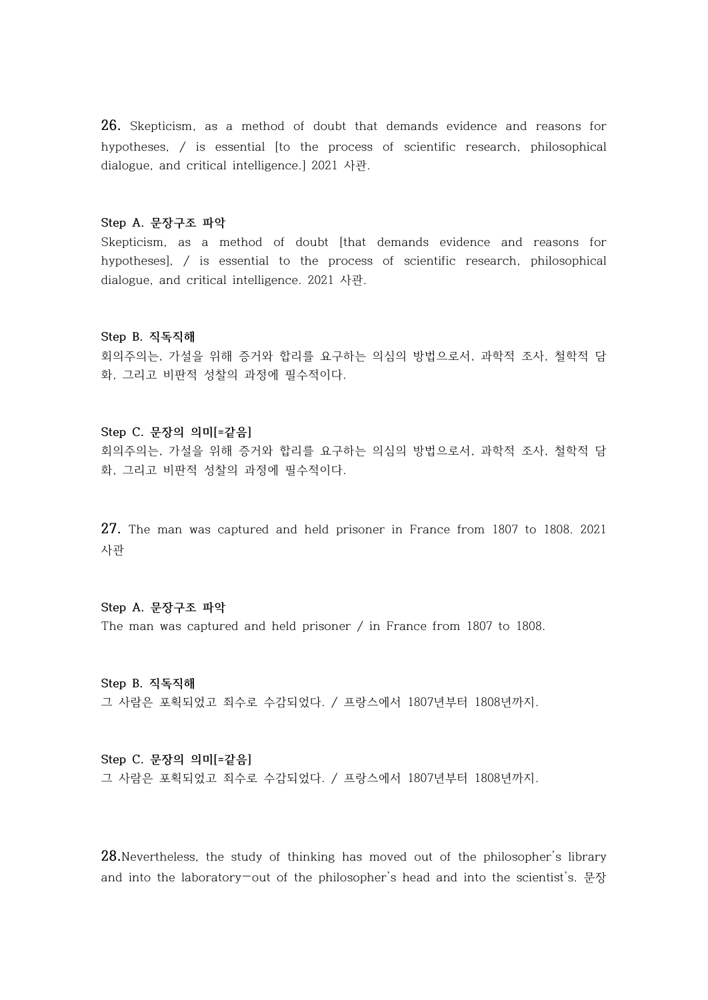**26.** Skepticism, as a method of doubt that demands evidence and reasons for hypotheses, / is essential [to the process of scientific research, philosophical dialogue, and critical intelligence.] 2021 사관.

#### **Step A. 문장구조 파악**

Skepticism, as a method of doubt [that demands evidence and reasons for hypotheses], / is essential to the process of scientific research, philosophical dialogue, and critical intelligence. 2021 사관.

#### **Step B. 직독직해**

회의주의는, 가설을 위해 증거와 합리를 요구하는 의심의 방법으로서, 과학적 조사, 철학적 담 화, 그리고 비판적 성찰의 과정에 필수적이다.

## **Step C. 문장의 의미[=같음]**

회의주의는, 가설을 위해 증거와 합리를 요구하는 의심의 방법으로서, 과학적 조사, 철학적 담 화, 그리고 비판적 성찰의 과정에 필수적이다.

**27.** The man was captured and held prisoner in France from 1807 to 1808. 2021 사관

**Step A. 문장구조 파악** The man was captured and held prisoner / in France from 1807 to 1808.

**Step B. 직독직해** 그 사람은 포획되었고 죄수로 수감되었다. / 프랑스에서 1807년부터 1808년까지.

# **Step C. 문장의 의미[=같음]**

그 사람은 포획되었고 죄수로 수감되었다. / 프랑스에서 1807년부터 1808년까지.

**28.**Nevertheless, the study of thinking has moved out of the philosopher's library and into the laboratory—out of the philosopher's head and into the scientist's. 문장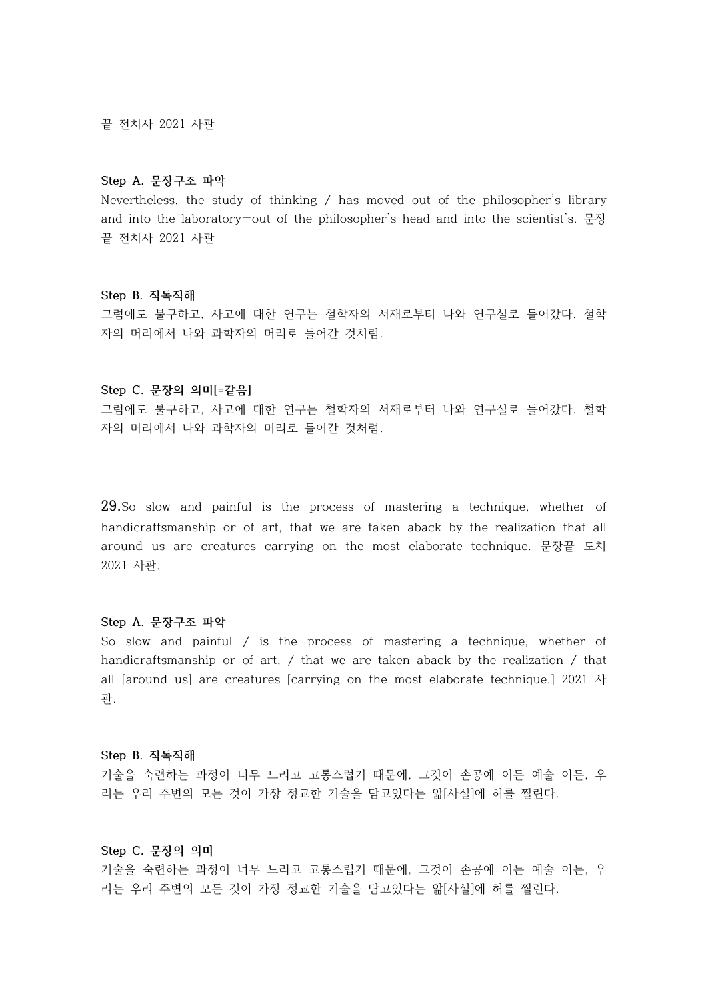끝 전치사 2021 사관

#### **Step A. 문장구조 파악**

Nevertheless, the study of thinking / has moved out of the philosopher's library and into the laboratory—out of the philosopher's head and into the scientist's. 문장 끝 전치사 2021 사관

#### **Step B. 직독직해**

그럼에도 불구하고, 사고에 대한 연구는 철학자의 서재로부터 나와 연구실로 들어갔다. 철학 자의 머리에서 나와 과학자의 머리로 들어간 것처럼.

# **Step C. 문장의 의미[=같음]**

그럼에도 불구하고, 사고에 대한 연구는 철학자의 서재로부터 나와 연구실로 들어갔다. 철학 자의 머리에서 나와 과학자의 머리로 들어간 것처럼.

**29.**So slow and painful is the process of mastering a technique, whether of handicraftsmanship or of art, that we are taken aback by the realization that all around us are creatures carrying on the most elaborate technique. 문장끝 도치 2021 사관.

#### **Step A. 문장구조 파악**

So slow and painful  $/$  is the process of mastering a technique, whether of handicraftsmanship or of art, / that we are taken aback by the realization / that all [around us] are creatures [carrying on the most elaborate technique.] 2021 사 관.

#### **Step B. 직독직해**

기술을 숙련하는 과정이 너무 느리고 고통스럽기 때문에, 그것이 손공예 이든 예술 이든, 우 리는 우리 주변의 모든 것이 가장 정교한 기술을 담고있다는 앎[사실]에 허를 찔린다.

#### **Step C. 문장의 의미**

기술을 숙련하는 과정이 너무 느리고 고통스럽기 때문에, 그것이 손공예 이든 예술 이든, 우 리는 우리 주변의 모든 것이 가장 정교한 기술을 담고있다는 앎[사실]에 허를 찔린다.